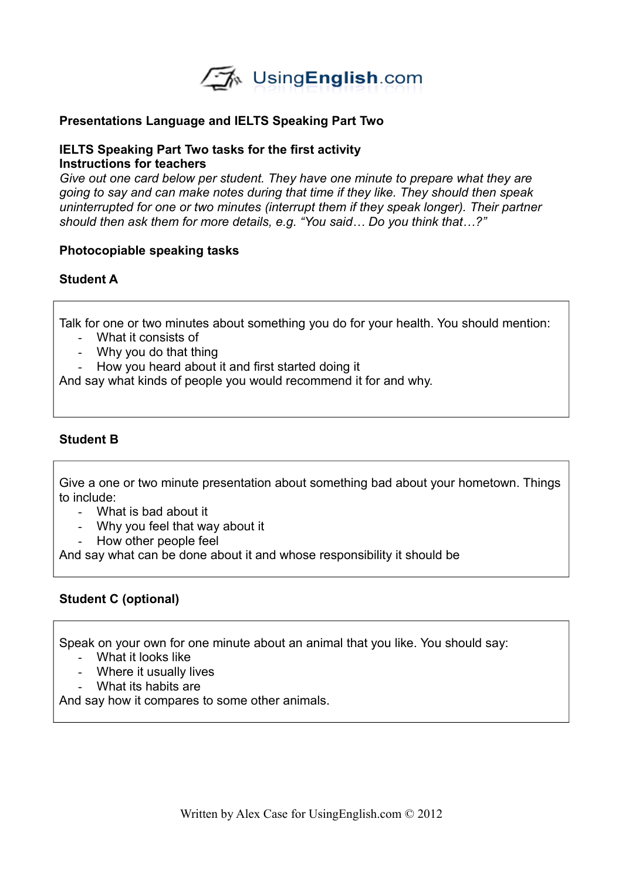

## **Presentations Language and IELTS Speaking Part Two**

#### **IELTS Speaking Part Two tasks for the first activity Instructions for teachers**

*Give out one card below per student. They have one minute to prepare what they are going to say and can make notes during that time if they like. They should then speak uninterrupted for one or two minutes (interrupt them if they speak longer). Their partner should then ask them for more details, e.g. "You said… Do you think that…?"* 

## **Photocopiable speaking tasks**

## **Student A**

Talk for one or two minutes about something you do for your health. You should mention:

- What it consists of
- Why you do that thing
- How you heard about it and first started doing it

And say what kinds of people you would recommend it for and why.

### **Student B**

Give a one or two minute presentation about something bad about your hometown. Things to include:

- What is bad about it
- Why you feel that way about it
- How other people feel

And say what can be done about it and whose responsibility it should be

## **Student C (optional)**

Speak on your own for one minute about an animal that you like. You should say:

- What it looks like
- Where it usually lives
- What its habits are

And say how it compares to some other animals.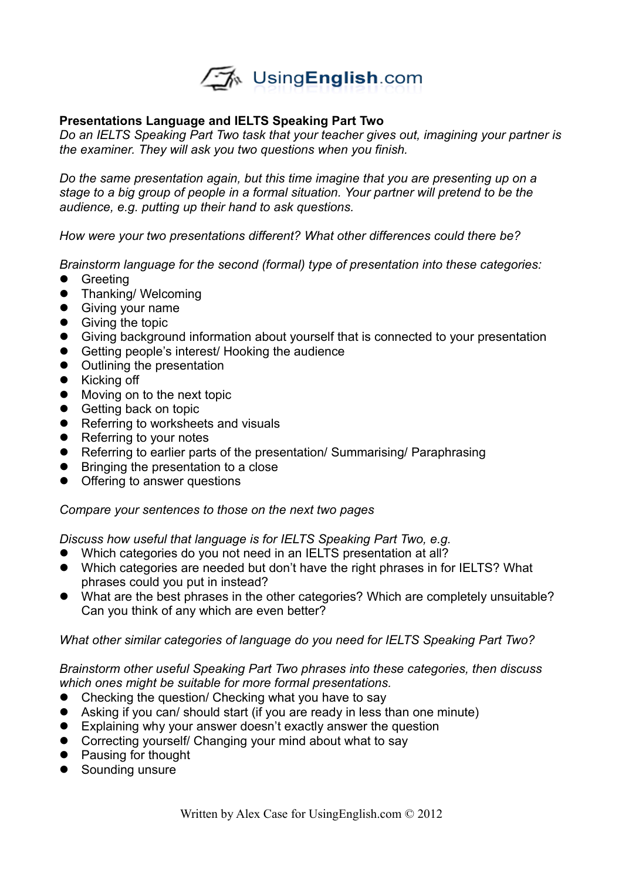

## **Presentations Language and IELTS Speaking Part Two**

*Do an IELTS Speaking Part Two task that your teacher gives out, imagining your partner is the examiner. They will ask you two questions when you finish.*

*Do the same presentation again, but this time imagine that you are presenting up on a stage to a big group of people in a formal situation. Your partner will pretend to be the audience, e.g. putting up their hand to ask questions.*

*How were your two presentations different? What other differences could there be?*

*Brainstorm language for the second (formal) type of presentation into these categories:*

- **•** Greeting
- **•** Thanking/Welcoming
- **•** Giving your name
- **•** Giving the topic
- Giving background information about yourself that is connected to your presentation
- Getting people's interest/ Hooking the audience
- Outlining the presentation
- Kicking off
- Moving on to the next topic
- Getting back on topic
- Referring to worksheets and visuals
- Referring to your notes
- Referring to earlier parts of the presentation/ Summarising/ Paraphrasing
- Bringing the presentation to a close
- Offering to answer questions

#### *Compare your sentences to those on the next two pages*

*Discuss how useful that language is for IELTS Speaking Part Two, e.g.*

- Which categories do you not need in an IELTS presentation at all?
- Which categories are needed but don't have the right phrases in for IELTS? What phrases could you put in instead?
- What are the best phrases in the other categories? Which are completely unsuitable? Can you think of any which are even better?

#### *What other similar categories of language do you need for IELTS Speaking Part Two?*

*Brainstorm other useful Speaking Part Two phrases into these categories, then discuss which ones might be suitable for more formal presentations.*

- Checking the question/ Checking what you have to say
- Asking if you can/ should start (if you are ready in less than one minute)
- Explaining why your answer doesn't exactly answer the question
- Correcting yourself/ Changing your mind about what to say
- Pausing for thought
- Sounding unsure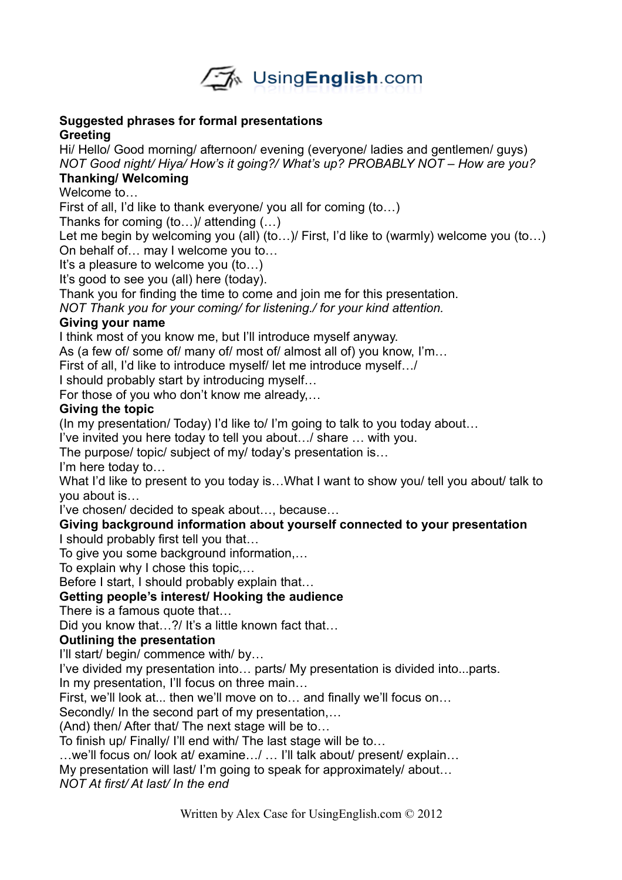

## **Suggested phrases for formal presentations Greeting**

Hi/ Hello/ Good morning/ afternoon/ evening (everyone/ ladies and gentlemen/ guys) *NOT Good night/ Hiya/ How's it going?/ What's up? PROBABLY NOT – How are you?*

# **Thanking/ Welcoming**

Welcome to…

First of all, I'd like to thank everyone/ you all for coming (to…)

Thanks for coming (to…)/ attending (…)

Let me begin by welcoming you (all) (to...) First, I'd like to (warmly) welcome you (to...) On behalf of… may I welcome you to…

It's a pleasure to welcome you (to…)

It's good to see you (all) here (today).

Thank you for finding the time to come and join me for this presentation.

*NOT Thank you for your coming/ for listening./ for your kind attention.*

## **Giving your name**

I think most of you know me, but I'll introduce myself anyway.

As (a few of/ some of/ many of/ most of/ almost all of) you know, I'm…

First of all, I'd like to introduce myself/ let me introduce myself…/

I should probably start by introducing myself…

For those of you who don't know me already,…

## **Giving the topic**

(In my presentation/ Today) I'd like to/ I'm going to talk to you today about…

I've invited you here today to tell you about…/ share … with you.

The purpose/ topic/ subject of my/ today's presentation is…

I'm here today to…

What I'd like to present to you today is...What I want to show you/ tell you about/ talk to you about is…

I've chosen/ decided to speak about…, because…

## **Giving background information about yourself connected to your presentation** I should probably first tell you that…

To give you some background information,…

To explain why I chose this topic,…

Before I start, I should probably explain that…

# **Getting people's interest/ Hooking the audience**

There is a famous quote that…

Did you know that...?/ It's a little known fact that...

## **Outlining the presentation**

I'll start/ begin/ commence with/ by…

I've divided my presentation into… parts/ My presentation is divided into...parts.

In my presentation, I'll focus on three main…

First, we'll look at... then we'll move on to… and finally we'll focus on…

Secondly/ In the second part of my presentation,…

(And) then/ After that/ The next stage will be to…

To finish up/ Finally/ I'll end with/ The last stage will be to…

…we'll focus on/ look at/ examine…/ … I'll talk about/ present/ explain…

My presentation will last/ I'm going to speak for approximately/ about…

*NOT At first/ At last/ In the end*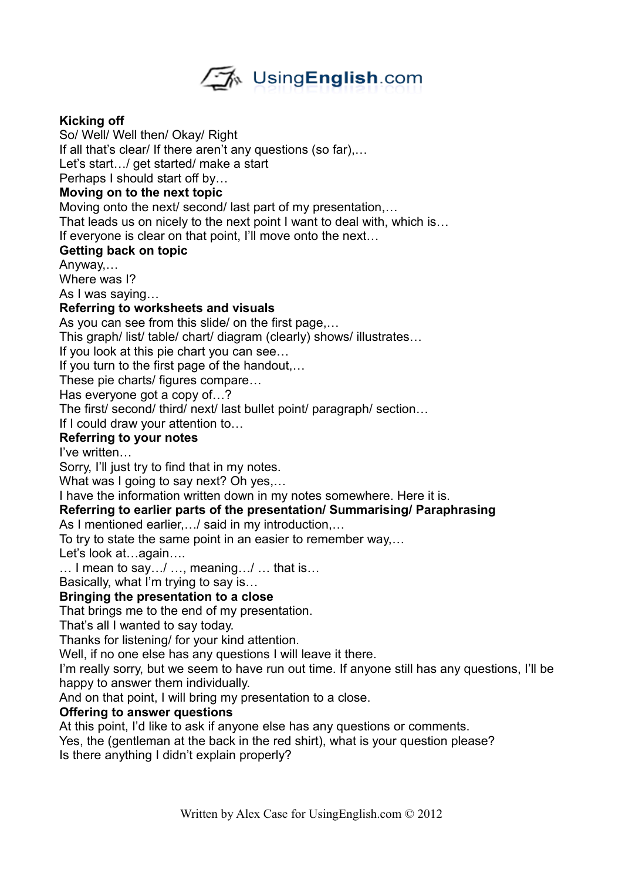

## **Kicking off**

So/ Well/ Well then/ Okay/ Right If all that's clear/ If there aren't any questions (so far),… Let's start.../ get started/ make a start Perhaps I should start off by… **Moving on to the next topic** Moving onto the next/ second/ last part of my presentation,…

That leads us on nicely to the next point I want to deal with, which is…

If everyone is clear on that point, I'll move onto the next…

## **Getting back on topic**

Anyway,…

Where was I?

As I was saying…

## **Referring to worksheets and visuals**

As you can see from this slide/ on the first page,…

This graph/ list/ table/ chart/ diagram (clearly) shows/ illustrates…

If you look at this pie chart you can see…

If you turn to the first page of the handout,…

These pie charts/ figures compare…

Has everyone got a copy of…?

The first/ second/ third/ next/ last bullet point/ paragraph/ section…

If I could draw your attention to…

## **Referring to your notes**

I've written…

Sorry, I'll just try to find that in my notes.

What was I going to say next? Oh yes,...

I have the information written down in my notes somewhere. Here it is.

## **Referring to earlier parts of the presentation/ Summarising/ Paraphrasing**

As I mentioned earlier,…/ said in my introduction,…

To try to state the same point in an easier to remember way,…

Let's look at…again….

… I mean to say…/ …, meaning…/ … that is…

Basically, what I'm trying to say is…

## **Bringing the presentation to a close**

That brings me to the end of my presentation.

That's all I wanted to say today.

Thanks for listening/ for your kind attention.

Well, if no one else has any questions I will leave it there.

I'm really sorry, but we seem to have run out time. If anyone still has any questions, I'll be happy to answer them individually.

And on that point, I will bring my presentation to a close.

## **Offering to answer questions**

At this point, I'd like to ask if anyone else has any questions or comments.

Yes, the (gentleman at the back in the red shirt), what is your question please?

Is there anything I didn't explain properly?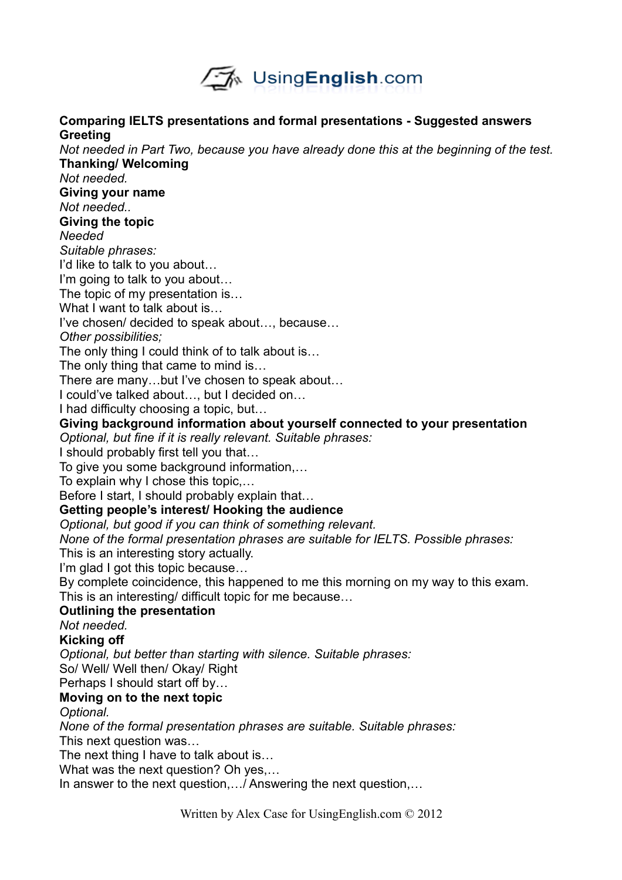

**Comparing IELTS presentations and formal presentations - Suggested answers**

**Greeting**

## *Not needed in Part Two, because you have already done this at the beginning of the test.* **Thanking/ Welcoming** *Not needed.* **Giving your name** *Not needed..* **Giving the topic** *Needed Suitable phrases:* I'd like to talk to you about… I'm going to talk to you about… The topic of my presentation is… What I want to talk about is I've chosen/ decided to speak about…, because… *Other possibilities;* The only thing I could think of to talk about is… The only thing that came to mind is… There are many…but I've chosen to speak about… I could've talked about…, but I decided on… I had difficulty choosing a topic, but… **Giving background information about yourself connected to your presentation** *Optional, but fine if it is really relevant. Suitable phrases:* I should probably first tell you that… To give you some background information,… To explain why I chose this topic,… Before I start, I should probably explain that… **Getting people's interest/ Hooking the audience** *Optional, but good if you can think of something relevant. None of the formal presentation phrases are suitable for IELTS. Possible phrases:* This is an interesting story actually. I'm glad I got this topic because… By complete coincidence, this happened to me this morning on my way to this exam. This is an interesting/ difficult topic for me because… **Outlining the presentation** *Not needed.* **Kicking off** *Optional, but better than starting with silence. Suitable phrases:* So/ Well/ Well then/ Okay/ Right Perhaps I should start off by… **Moving on to the next topic** *Optional. None of the formal presentation phrases are suitable. Suitable phrases:* This next question was… The next thing I have to talk about is… What was the next question? Oh yes,… In answer to the next question,…/ Answering the next question,… Written by Alex Case for UsingEnglish.com © 2012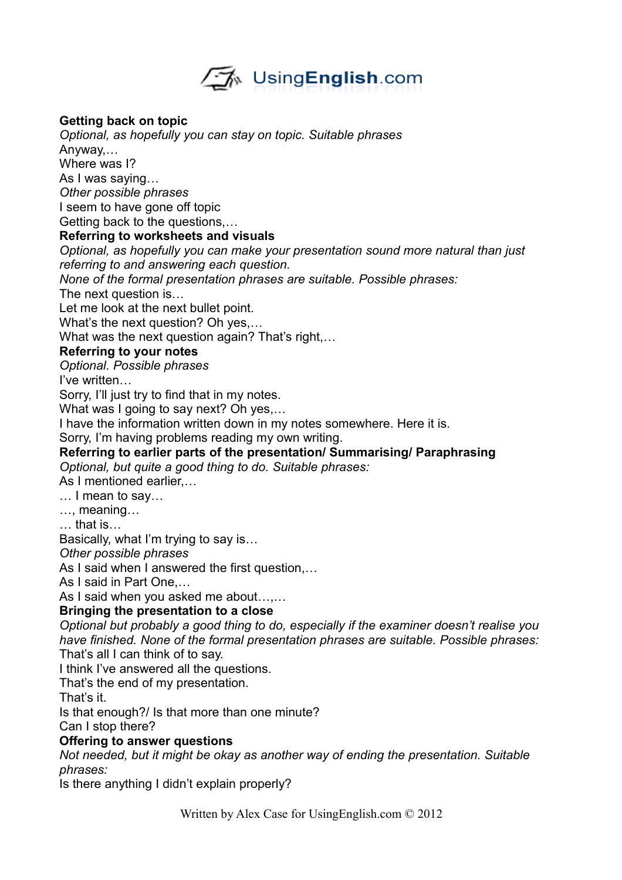

## **Getting back on topic**

*Optional, as hopefully you can stay on topic. Suitable phrases* Anyway,… Where was I? As I was saying… *Other possible phrases* I seem to have gone off topic Getting back to the questions,…

### **Referring to worksheets and visuals**

*Optional, as hopefully you can make your presentation sound more natural than just referring to and answering each question.*

*None of the formal presentation phrases are suitable. Possible phrases:*

The next question is…

Let me look at the next bullet point.

What's the next question? Oh yes,…

What was the next question again? That's right,...

## **Referring to your notes**

*Optional. Possible phrases*

I've written…

Sorry, I'll just try to find that in my notes.

What was I going to say next? Oh yes,...

I have the information written down in my notes somewhere. Here it is.

Sorry, I'm having problems reading my own writing.

## **Referring to earlier parts of the presentation/ Summarising/ Paraphrasing**

*Optional, but quite a good thing to do. Suitable phrases:*

As I mentioned earlier,…

… I mean to say…

…, meaning…

… that is…

Basically, what I'm trying to say is…

*Other possible phrases*

As I said when I answered the first question,…

As I said in Part One,…

As I said when you asked me about…,…

## **Bringing the presentation to a close**

*Optional but probably a good thing to do, especially if the examiner doesn't realise you have finished. None of the formal presentation phrases are suitable. Possible phrases:* That's all I can think of to say.

I think I've answered all the questions.

That's the end of my presentation.

That's it.

Is that enough?/ Is that more than one minute?

Can I stop there?

## **Offering to answer questions**

*Not needed, but it might be okay as another way of ending the presentation. Suitable phrases:*

Is there anything I didn't explain properly?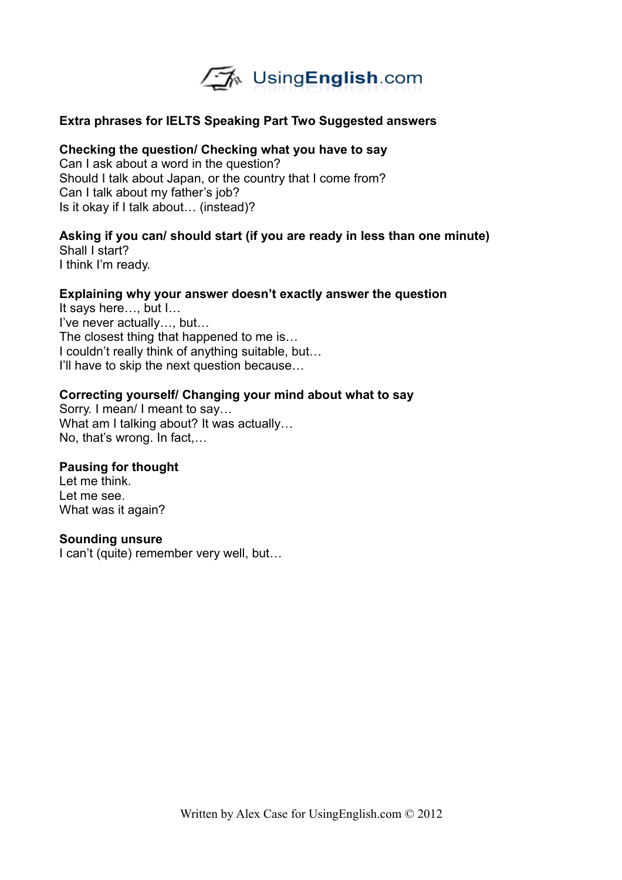

## **Extra phrases for IELTS Speaking Part Two Suggested answers**

### **Checking the question/ Checking what you have to say**

Can I ask about a word in the question? Should I talk about Japan, or the country that I come from? Can I talk about my father's job? Is it okay if I talk about… (instead)?

# **Asking if you can/ should start (if you are ready in less than one minute)**

Shall I start? I think I'm ready.

### **Explaining why your answer doesn't exactly answer the question**

It says here…, but I… I've never actually…, but… The closest thing that happened to me is… I couldn't really think of anything suitable, but… I'll have to skip the next question because…

### **Correcting yourself/ Changing your mind about what to say**

Sorry. I mean/ I meant to say… What am I talking about? It was actually... No, that's wrong. In fact,…

#### **Pausing for thought**

Let me think. Let me see. What was it again?

#### **Sounding unsure**

I can't (quite) remember very well, but…